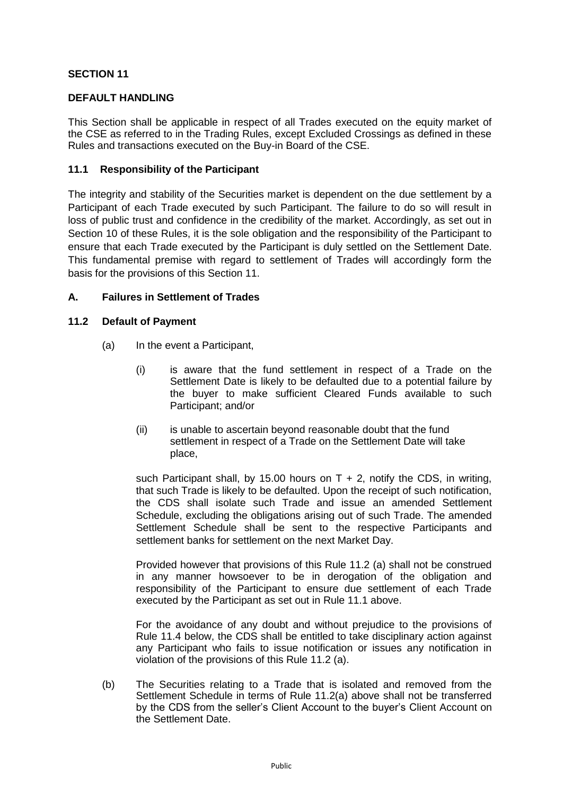# **SECTION 11**

#### **DEFAULT HANDLING**

This Section shall be applicable in respect of all Trades executed on the equity market of the CSE as referred to in the Trading Rules, except Excluded Crossings as defined in these Rules and transactions executed on the Buy-in Board of the CSE.

#### **11.1 Responsibility of the Participant**

The integrity and stability of the Securities market is dependent on the due settlement by a Participant of each Trade executed by such Participant. The failure to do so will result in loss of public trust and confidence in the credibility of the market. Accordingly, as set out in Section 10 of these Rules, it is the sole obligation and the responsibility of the Participant to ensure that each Trade executed by the Participant is duly settled on the Settlement Date. This fundamental premise with regard to settlement of Trades will accordingly form the basis for the provisions of this Section 11.

# **A. Failures in Settlement of Trades**

#### **11.2 Default of Payment**

- (a) In the event a Participant,
	- (i) is aware that the fund settlement in respect of a Trade on the Settlement Date is likely to be defaulted due to a potential failure by the buyer to make sufficient Cleared Funds available to such Participant; and/or
	- (ii) is unable to ascertain beyond reasonable doubt that the fund settlement in respect of a Trade on the Settlement Date will take place,

such Participant shall, by 15.00 hours on  $T + 2$ , notify the CDS, in writing, that such Trade is likely to be defaulted. Upon the receipt of such notification, the CDS shall isolate such Trade and issue an amended Settlement Schedule, excluding the obligations arising out of such Trade. The amended Settlement Schedule shall be sent to the respective Participants and settlement banks for settlement on the next Market Day.

Provided however that provisions of this Rule 11.2 (a) shall not be construed in any manner howsoever to be in derogation of the obligation and responsibility of the Participant to ensure due settlement of each Trade executed by the Participant as set out in Rule 11.1 above.

For the avoidance of any doubt and without prejudice to the provisions of Rule 11.4 below, the CDS shall be entitled to take disciplinary action against any Participant who fails to issue notification or issues any notification in violation of the provisions of this Rule 11.2 (a).

(b) The Securities relating to a Trade that is isolated and removed from the Settlement Schedule in terms of Rule 11.2(a) above shall not be transferred by the CDS from the seller's Client Account to the buyer's Client Account on the Settlement Date.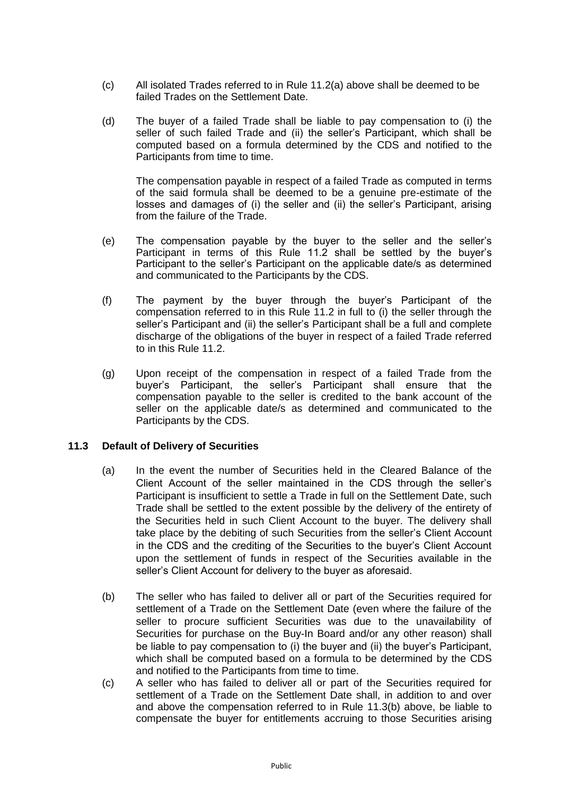- (c) All isolated Trades referred to in Rule 11.2(a) above shall be deemed to be failed Trades on the Settlement Date.
- (d) The buyer of a failed Trade shall be liable to pay compensation to (i) the seller of such failed Trade and (ii) the seller's Participant, which shall be computed based on a formula determined by the CDS and notified to the Participants from time to time.

The compensation payable in respect of a failed Trade as computed in terms of the said formula shall be deemed to be a genuine pre-estimate of the losses and damages of (i) the seller and (ii) the seller's Participant, arising from the failure of the Trade.

- (e) The compensation payable by the buyer to the seller and the seller's Participant in terms of this Rule 11.2 shall be settled by the buyer's Participant to the seller's Participant on the applicable date/s as determined and communicated to the Participants by the CDS.
- (f) The payment by the buyer through the buyer's Participant of the compensation referred to in this Rule 11.2 in full to (i) the seller through the seller's Participant and (ii) the seller's Participant shall be a full and complete discharge of the obligations of the buyer in respect of a failed Trade referred to in this Rule 11.2.
- (g) Upon receipt of the compensation in respect of a failed Trade from the buyer's Participant, the seller's Participant shall ensure that the compensation payable to the seller is credited to the bank account of the seller on the applicable date/s as determined and communicated to the Participants by the CDS.

# **11.3 Default of Delivery of Securities**

- (a) In the event the number of Securities held in the Cleared Balance of the Client Account of the seller maintained in the CDS through the seller's Participant is insufficient to settle a Trade in full on the Settlement Date, such Trade shall be settled to the extent possible by the delivery of the entirety of the Securities held in such Client Account to the buyer. The delivery shall take place by the debiting of such Securities from the seller's Client Account in the CDS and the crediting of the Securities to the buyer's Client Account upon the settlement of funds in respect of the Securities available in the seller's Client Account for delivery to the buyer as aforesaid.
- (b) The seller who has failed to deliver all or part of the Securities required for settlement of a Trade on the Settlement Date (even where the failure of the seller to procure sufficient Securities was due to the unavailability of Securities for purchase on the Buy-In Board and/or any other reason) shall be liable to pay compensation to (i) the buyer and (ii) the buyer's Participant, which shall be computed based on a formula to be determined by the CDS and notified to the Participants from time to time.
- (c) A seller who has failed to deliver all or part of the Securities required for settlement of a Trade on the Settlement Date shall, in addition to and over and above the compensation referred to in Rule 11.3(b) above, be liable to compensate the buyer for entitlements accruing to those Securities arising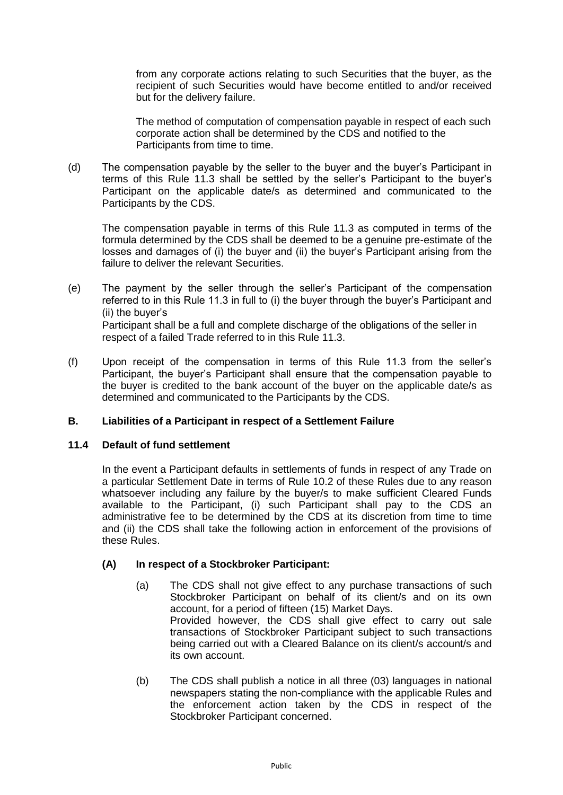from any corporate actions relating to such Securities that the buyer, as the recipient of such Securities would have become entitled to and/or received but for the delivery failure.

The method of computation of compensation payable in respect of each such corporate action shall be determined by the CDS and notified to the Participants from time to time.

(d) The compensation payable by the seller to the buyer and the buyer's Participant in terms of this Rule 11.3 shall be settled by the seller's Participant to the buyer's Participant on the applicable date/s as determined and communicated to the Participants by the CDS.

The compensation payable in terms of this Rule 11.3 as computed in terms of the formula determined by the CDS shall be deemed to be a genuine pre-estimate of the losses and damages of (i) the buyer and (ii) the buyer's Participant arising from the failure to deliver the relevant Securities.

(e) The payment by the seller through the seller's Participant of the compensation referred to in this Rule 11.3 in full to (i) the buyer through the buyer's Participant and (ii) the buyer's Participant shall be a full and complete discharge of the obligations of the seller in

respect of a failed Trade referred to in this Rule 11.3.

(f) Upon receipt of the compensation in terms of this Rule 11.3 from the seller's Participant, the buyer's Participant shall ensure that the compensation payable to the buyer is credited to the bank account of the buyer on the applicable date/s as determined and communicated to the Participants by the CDS.

# **B. Liabilities of a Participant in respect of a Settlement Failure**

# **11.4 Default of fund settlement**

In the event a Participant defaults in settlements of funds in respect of any Trade on a particular Settlement Date in terms of Rule 10.2 of these Rules due to any reason whatsoever including any failure by the buyer/s to make sufficient Cleared Funds available to the Participant, (i) such Participant shall pay to the CDS an administrative fee to be determined by the CDS at its discretion from time to time and (ii) the CDS shall take the following action in enforcement of the provisions of these Rules.

# **(A) In respect of a Stockbroker Participant:**

- (a) The CDS shall not give effect to any purchase transactions of such Stockbroker Participant on behalf of its client/s and on its own account, for a period of fifteen (15) Market Days. Provided however, the CDS shall give effect to carry out sale transactions of Stockbroker Participant subject to such transactions being carried out with a Cleared Balance on its client/s account/s and its own account.
- (b) The CDS shall publish a notice in all three (03) languages in national newspapers stating the non-compliance with the applicable Rules and the enforcement action taken by the CDS in respect of the Stockbroker Participant concerned.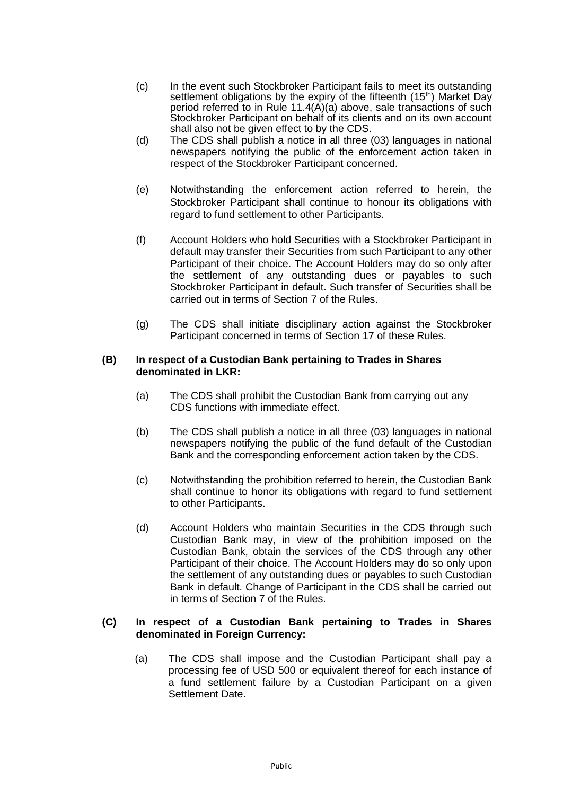- (c) In the event such Stockbroker Participant fails to meet its outstanding settlement obligations by the expiry of the fifteenth  $(15<sup>th</sup>)$  Market Day period referred to in Rule 11.4( $\vec{A}$ )( $\vec{a}$ ) above, sale transactions of such Stockbroker Participant on behalf of its clients and on its own account shall also not be given effect to by the CDS.
- (d) The CDS shall publish a notice in all three (03) languages in national newspapers notifying the public of the enforcement action taken in respect of the Stockbroker Participant concerned.
- (e) Notwithstanding the enforcement action referred to herein, the Stockbroker Participant shall continue to honour its obligations with regard to fund settlement to other Participants.
- (f) Account Holders who hold Securities with a Stockbroker Participant in default may transfer their Securities from such Participant to any other Participant of their choice. The Account Holders may do so only after the settlement of any outstanding dues or payables to such Stockbroker Participant in default. Such transfer of Securities shall be carried out in terms of Section 7 of the Rules.
- (g) The CDS shall initiate disciplinary action against the Stockbroker Participant concerned in terms of Section 17 of these Rules.

#### **(B) In respect of a Custodian Bank pertaining to Trades in Shares denominated in LKR:**

- (a) The CDS shall prohibit the Custodian Bank from carrying out any CDS functions with immediate effect.
- (b) The CDS shall publish a notice in all three (03) languages in national newspapers notifying the public of the fund default of the Custodian Bank and the corresponding enforcement action taken by the CDS.
- (c) Notwithstanding the prohibition referred to herein, the Custodian Bank shall continue to honor its obligations with regard to fund settlement to other Participants.
- (d) Account Holders who maintain Securities in the CDS through such Custodian Bank may, in view of the prohibition imposed on the Custodian Bank, obtain the services of the CDS through any other Participant of their choice. The Account Holders may do so only upon the settlement of any outstanding dues or payables to such Custodian Bank in default. Change of Participant in the CDS shall be carried out in terms of Section 7 of the Rules.

# **(C) In respect of a Custodian Bank pertaining to Trades in Shares denominated in Foreign Currency:**

(a) The CDS shall impose and the Custodian Participant shall pay a processing fee of USD 500 or equivalent thereof for each instance of a fund settlement failure by a Custodian Participant on a given Settlement Date.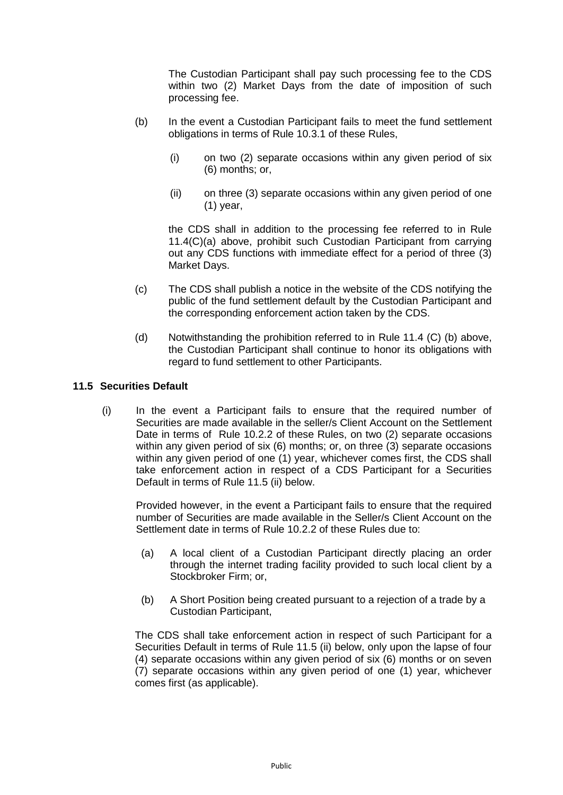The Custodian Participant shall pay such processing fee to the CDS within two (2) Market Days from the date of imposition of such processing fee.

- (b) In the event a Custodian Participant fails to meet the fund settlement obligations in terms of Rule 10.3.1 of these Rules,
	- (i) on two (2) separate occasions within any given period of six (6) months; or,
	- (ii) on three (3) separate occasions within any given period of one (1) year,

the CDS shall in addition to the processing fee referred to in Rule 11.4(C)(a) above, prohibit such Custodian Participant from carrying out any CDS functions with immediate effect for a period of three (3) Market Days.

- (c) The CDS shall publish a notice in the website of the CDS notifying the public of the fund settlement default by the Custodian Participant and the corresponding enforcement action taken by the CDS.
- (d) Notwithstanding the prohibition referred to in Rule 11.4 (C) (b) above, the Custodian Participant shall continue to honor its obligations with regard to fund settlement to other Participants.

#### **11.5 Securities Default**

(i) In the event a Participant fails to ensure that the required number of Securities are made available in the seller/s Client Account on the Settlement Date in terms of Rule 10.2.2 of these Rules, on two (2) separate occasions within any given period of six (6) months; or, on three (3) separate occasions within any given period of one (1) year, whichever comes first, the CDS shall take enforcement action in respect of a CDS Participant for a Securities Default in terms of Rule 11.5 (ii) below.

Provided however, in the event a Participant fails to ensure that the required number of Securities are made available in the Seller/s Client Account on the Settlement date in terms of Rule 10.2.2 of these Rules due to:

- (a) A local client of a Custodian Participant directly placing an order through the internet trading facility provided to such local client by a Stockbroker Firm; or,
- (b) A Short Position being created pursuant to a rejection of a trade by a Custodian Participant,

The CDS shall take enforcement action in respect of such Participant for a Securities Default in terms of Rule 11.5 (ii) below, only upon the lapse of four (4) separate occasions within any given period of six (6) months or on seven (7) separate occasions within any given period of one (1) year, whichever comes first (as applicable).